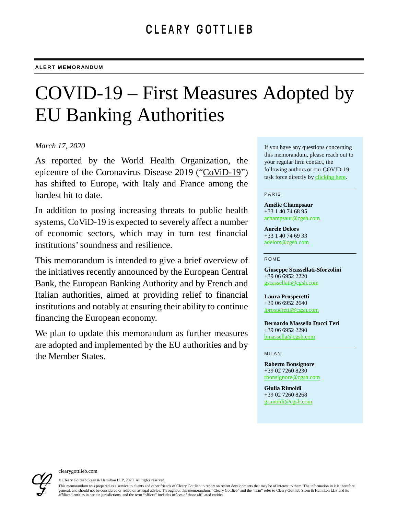# COVID-19 – First Measures Adopted by EU Banking Authorities

## *March 17, 2020*

As reported by the World Health Organization, the epicentre of the Coronavirus Disease 2019 ("CoViD-19") has shifted to Europe, with Italy and France among the hardest hit to date.

In addition to posing increasing threats to public health systems, CoViD-19 is expected to severely affect a number of economic sectors, which may in turn test financial institutions' soundness and resilience.

This memorandum is intended to give a brief overview of the initiatives recently announced by the European Central Bank, the European Banking Authority and by French and Italian authorities, aimed at providing relief to financial institutions and notably at ensuring their ability to continue financing the European economy.

We plan to update this memorandum as further measures are adopted and implemented by the EU authorities and by the Member States.

If you have any questions concerning this memorandum, please reach out to your regular firm contact, the following authors or our COVID-19 task force directly by [clicking here.](mailto:Global-Cleary_Covid-19_Taskforce@cgsh.com?subject=COVID-19)

#### PARIS

**Amélie Champsaur** +33 1 40 74 68 95 [achampsaur@cgsh.com](mailto:achampsaur@cgsh.com)

**Aurèle Delors** +33 1 40 74 69 33 [adelors@cgsh.com](mailto:adelors@cgsh.com)

#### ROME

**Giuseppe Scassellati-Sforzolini**  +39 06 6952 2220 [gscassellati@cgsh.com](mailto:gscassellati@cgsh.com)

**Laura Prosperetti**  +39 06 6952 2640 [lprosperetti@cgsh.com](mailto:lprosperetti@cgsh.com)

**Bernardo Massella Ducci Teri**  +39 06 6952 2290 [bmassella@cgsh.com](mailto:bmassella@cgsh.com)

MILAN

**Roberto Bonsignore**  +39 02 7260 8230 [rbonsignore@cgsh.com](mailto:rbonsignore@cgsh.com)

**Giulia Rimoldi**  +39 02 7260 8268 [grimoldi@cgsh.com](mailto:grimoldi@cgsh.com)



© Cleary Gottlieb Steen & Hamilton LLP, 2020. All rights reserved.

This memorandum was prepared as a service to clients and other friends of Cleary Gottlieb to report on recent developments that may be of interest to them. The information in it is therefore general, and should not be considered or relied on as legal advice. Throughout this memorandum, "Cleary Gottlieb" and the "firm" refer to Cleary Gottlieb Steen & Hamilton LLP and its affiliated entities in certain jurisdictions, and the term "offices" includes offices of those affiliated entities.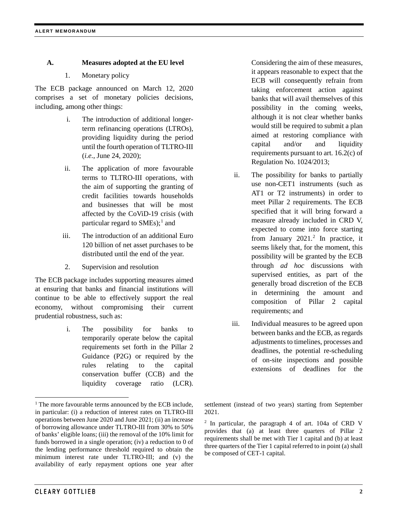# **A. Measures adopted at the EU level**

1. Monetary policy

The ECB package announced on March 12, 2020 comprises a set of monetary policies decisions, including, among other things:

- i. The introduction of additional longerterm refinancing operations (LTROs), providing liquidity during the period until the fourth operation of TLTRO-III (*i.e.*, June 24, 2020);
- ii. The application of more favourable terms to TLTRO-III operations, with the aim of supporting the granting of credit facilities towards households and businesses that will be most affected by the CoViD-19 crisis (with particular regard to SMEs);<sup>[1](#page-1-0)</sup> and
- iii. The introduction of an additional Euro 120 billion of net asset purchases to be distributed until the end of the year.
- 2. Supervision and resolution

The ECB package includes supporting measures aimed at ensuring that banks and financial institutions will continue to be able to effectively support the real economy, without compromising their current prudential robustness, such as:

<span id="page-1-1"></span><span id="page-1-0"></span><sup>1</sup> The more favourable terms announced by the ECB include, in particular: (i) a reduction of interest rates on TLTRO-III operations between June 2020 and June 2021; (ii) an increase of borrowing allowance under TLTRO-III from 30% to 50% of banks' eligible loans; (iii) the removal of the 10% limit for funds borrowed in a single operation; (iv) a reduction to 0 of

availability of early repayment options one year after

i. The possibility for banks to temporarily operate below the capital requirements set forth in the Pillar 2 Guidance (P2G) or required by the rules relating to the capital conservation buffer (CCB) and the liquidity coverage ratio (LCR).

Considering the aim of these measures, it appears reasonable to expect that the ECB will consequently refrain from taking enforcement action against banks that will avail themselves of this possibility in the coming weeks, although it is not clear whether banks would still be required to submit a plan aimed at restoring compliance with capital and/or and liquidity requirements pursuant to art. 16.2(c) of

ii. The possibility for banks to partially use non-CET1 instruments (such as AT1 or T2 instruments) in order to meet Pillar 2 requirements. The ECB specified that it will bring forward a measure already included in CRD V, expected to come into force starting from January  $2021$  $2021$ .<sup>2</sup> In practice, it seems likely that, for the moment, this possibility will be granted by the ECB through *ad hoc* discussions with supervised entities, as part of the generally broad discretion of the ECB in determining the amount and composition of Pillar 2 capital requirements; and

Regulation No. 1024/2013;

iii. Individual measures to be agreed upon between banks and the ECB, as regards adjustments to timelines, processes and deadlines, the potential re-scheduling of on-site inspections and possible extensions of deadlines for the

settlement (instead of two years) starting from September 2021.

<sup>2</sup> In particular, the paragraph 4 of art. 104a of CRD V provides that (a) at least three quarters of Pillar 2 requirements shall be met with Tier 1 capital and (b) at least three quarters of the Tier 1 capital referred to in point (a) shall be composed of CET-1 capital.